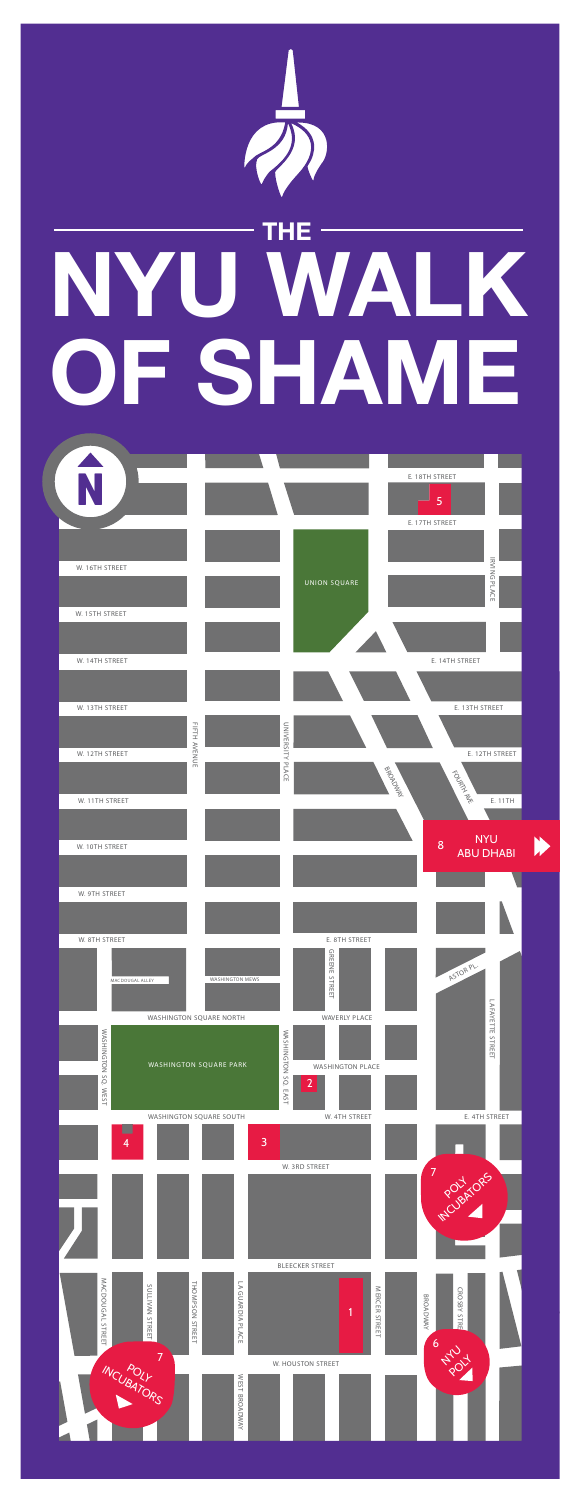